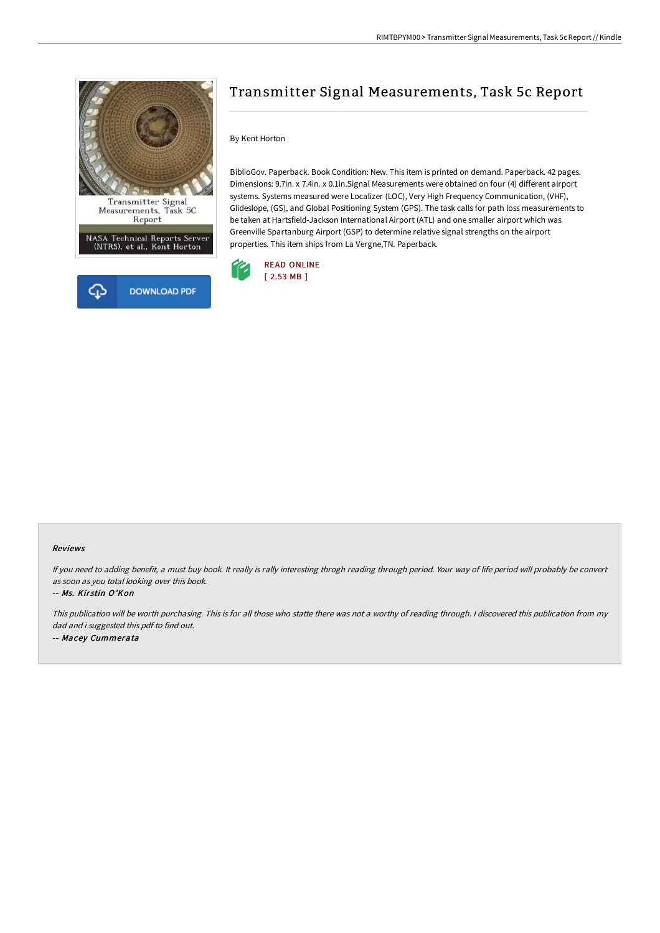

Transmitter Signal<br>Measurements, Task 5C Report

NASA Technical Reports Server<br>(NTRS), et al., Kent Horton



# Transmitter Signal Measurements, Task 5c Report

## By Kent Horton

BiblioGov. Paperback. Book Condition: New. This item is printed on demand. Paperback. 42 pages. Dimensions: 9.7in. x 7.4in. x 0.1in.Signal Measurements were obtained on four (4) different airport systems. Systems measured were Localizer (LOC), Very High Frequency Communication, (VHF), Glideslope, (GS), and Global Positioning System (GPS). The task calls for path loss measurements to be taken at Hartsfield-Jackson International Airport (ATL) and one smaller airport which was Greenville Spartanburg Airport (GSP) to determine relative signal strengths on the airport properties. This item ships from La Vergne,TN. Paperback.



#### Reviews

If you need to adding benefit, <sup>a</sup> must buy book. It really is rally interesting throgh reading through period. Your way of life period will probably be convert as soon as you total looking over this book.

### -- Ms. Kirstin O'Kon

This publication will be worth purchasing. This is for all those who statte there was not <sup>a</sup> worthy of reading through. <sup>I</sup> discovered this publication from my dad and i suggested this pdf to find out. -- Macey Cummerata